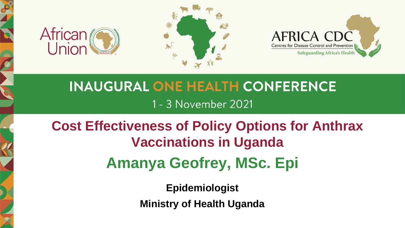





## **INAUGURAL ONE HEALTH CONFERENCE** 1 - 3 November 2021

## **Cost Effectiveness of Policy Options for Anthrax Vaccinations in Uganda Amanya Geofrey, MSc. Epi**

**Epidemiologist**

**Ministry of Health Uganda**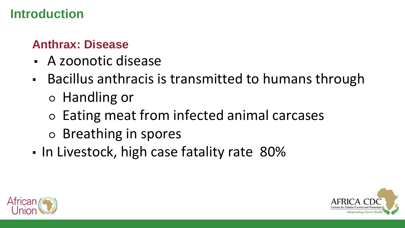#### **Introduction**

#### **Anthrax: Disease**

- A zoonotic disease
- Bacillus anthracis is transmitted to humans through ○ Handling or
	- Eating meat from infected animal carcases
	- Breathing in spores
- In Livestock, high case fatality rate 80%



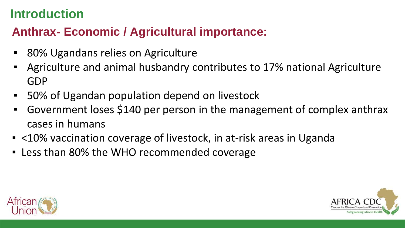## **Introduction**

## **Anthrax- Economic / Agricultural importance:**

- 80% Ugandans relies on Agriculture
- Agriculture and animal husbandry contributes to 17% national Agriculture GDP
- 50% of Ugandan population depend on livestock
- Government loses \$140 per person in the management of complex anthrax cases in humans
- <10% vaccination coverage of livestock, in at-risk areas in Uganda
- Less than 80% the WHO recommended coverage



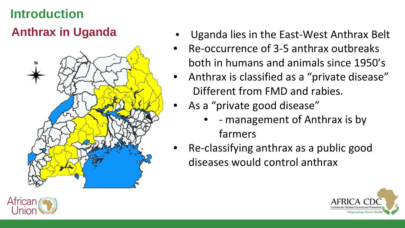## **Introduction Anthrax in Uganda**



- Uganda lies in the East-West Anthrax Belt
- Re-occurrence of 3-5 anthrax outbreaks both in humans and animals since 1950's
- Anthrax is classified as a "private disease" Different from FMD and rabies.
- As a "private good disease"
	- - management of Anthrax is by farmers
- Re-classifying anthrax as a public good diseases would control anthrax



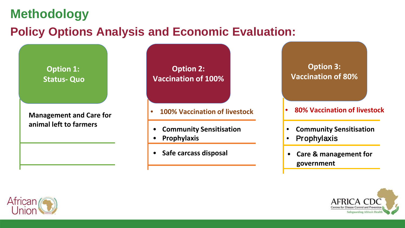#### **Methodology**

#### **Policy Options Analysis and Economic Evaluation:**

**Option 1: Status- Quo**

**Management and Care for animal left to farmers**

**Option 2: Vaccination of 100%**

- **100% Vaccination of livestock**
- **Community Sensitisation**
- **Prophylaxis**
- **Safe carcass disposal**

**Option 3: Vaccination of 80%**

- **80% Vaccination of livestock**
- **Community Sensitisation**
- **Prophylaxis**
- **Care & management for government**



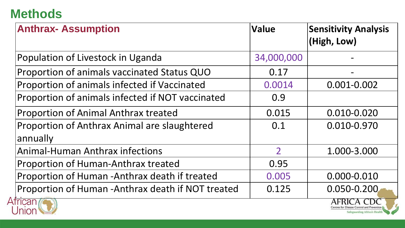## **Methods**

A

| <b>Anthrax- Assumption</b>                               | <b>Value</b>  | <b>Sensitivity Analysis</b><br>(High, Low) |
|----------------------------------------------------------|---------------|--------------------------------------------|
| Population of Livestock in Uganda                        | 34,000,000    |                                            |
| Proportion of animals vaccinated Status QUO              | 0.17          |                                            |
| Proportion of animals infected if Vaccinated             | 0.0014        | 0.001-0.002                                |
| Proportion of animals infected if NOT vaccinated         | 0.9           |                                            |
| <b>Proportion of Animal Anthrax treated</b>              | 0.015         | 0.010-0.020                                |
| Proportion of Anthrax Animal are slaughtered<br>annually | 0.1           | 0.010-0.970                                |
| <b>Animal-Human Anthrax infections</b>                   | $\mathcal{P}$ | 1.000-3.000                                |
| <b>Proportion of Human-Anthrax treated</b>               | 0.95          |                                            |
| Proportion of Human -Anthrax death if treated            | 0.005         | 0.000-0.010                                |
| Proportion of Human - Anthrax death if NOT treated       | 0.125         | 0.050-0.200                                |
| Jnion                                                    |               | Safeguarding Africa's Heal                 |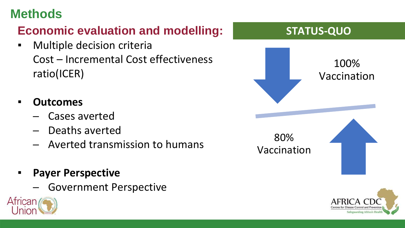## **Methods**

## **Economic evaluation and modelling:**

- **EXEC** Multiple decision criteria Cost – Incremental Cost effectiveness ratio(ICER)
- **Outcomes**
	- ─ Cases averted
	- Deaths averted
	- ─ Averted transmission to humans
- **Payer Perspective** 
	- Government Perspective



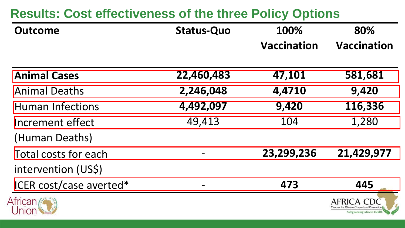## **Results: Cost effectiveness of the three Policy Options**

| Outcome | <b>Status-Quo</b> | 100%        | 80%         |
|---------|-------------------|-------------|-------------|
|         |                   | Vaccination | Vaccination |

| <b>Animal Cases</b>     | 22,460,483 | 47,101     | 581,681                                    |
|-------------------------|------------|------------|--------------------------------------------|
| <b>Animal Deaths</b>    | 2,246,048  | 4,4710     | 9,420                                      |
| <b>Human Infections</b> | 4,492,097  | 9,420      | 116,336                                    |
| Increment effect        | 49,413     | 104        | 1,280                                      |
| (Human Deaths)          |            |            |                                            |
| Total costs for each    |            | 23,299,236 | 21,429,977                                 |
| intervention (US\$)     |            |            |                                            |
| ICER cost/case averted* |            | 473        | 445                                        |
| African (C              |            |            | Centres for Disease Control and Prevention |

Safeguarding Africa's Health

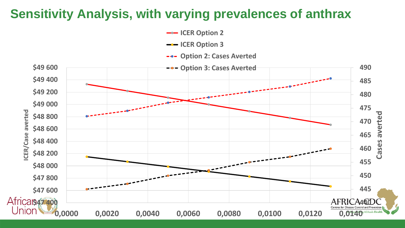#### **Sensitivity Analysis, with varying prevalences of anthrax**

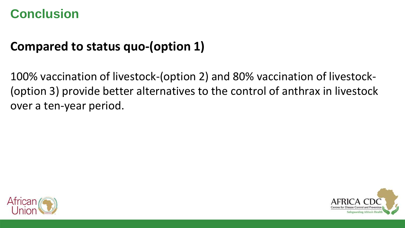#### **Conclusion**

## **Compared to status quo-(option 1)**

100% vaccination of livestock-(option 2) and 80% vaccination of livestock- (option 3) provide better alternatives to the control of anthrax in livestock over a ten-year period.



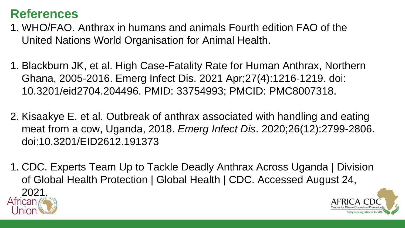#### **References**

- 1. WHO/FAO. Anthrax in humans and animals Fourth edition FAO of the United Nations World Organisation for Animal Health.
- 1. Blackburn JK, et al. High Case-Fatality Rate for Human Anthrax, Northern Ghana, 2005-2016. Emerg Infect Dis. 2021 Apr;27(4):1216-1219. doi: 10.3201/eid2704.204496. PMID: 33754993; PMCID: PMC8007318.
- 2. Kisaakye E. et al. Outbreak of anthrax associated with handling and eating meat from a cow, Uganda, 2018. *Emerg Infect Dis*. 2020;26(12):2799-2806. doi:10.3201/EID2612.191373
- 1. CDC. Experts Team Up to Tackle Deadly Anthrax Across Uganda | Division of Global Health Protection | Global Health | CDC. Accessed August 24,  $2021$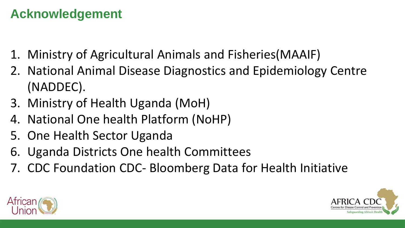## **Acknowledgement**

- 1. Ministry of Agricultural Animals and Fisheries(MAAIF)
- 2. National Animal Disease Diagnostics and Epidemiology Centre (NADDEC).
- 3. Ministry of Health Uganda (MoH)
- 4. National One health Platform (NoHP)
- 5. One Health Sector Uganda
- 6. Uganda Districts One health Committees
- 7. CDC Foundation CDC- Bloomberg Data for Health Initiative